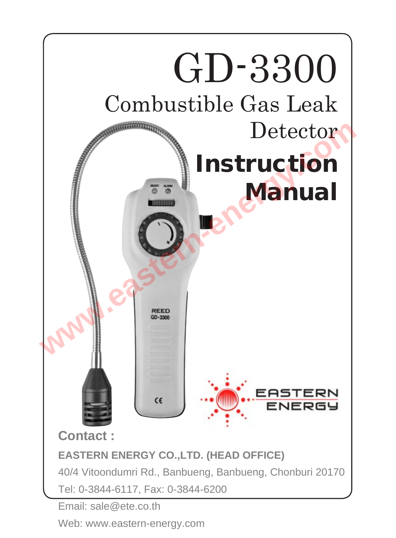

Web: www.eastern-energy.com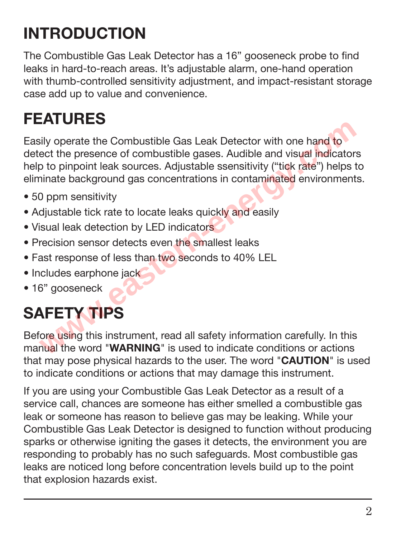## **Introduction**

The Combustible Gas Leak Detector has a 16" gooseneck probe to find leaks in hard-to-reach areas. It's adjustable alarm, one-hand operation with thumb-controlled sensitivity adjustment, and impact-resistant storage case add up to value and convenience.

### **Features**

Easily operate the Combustible Gas Leak Detector with one hand to detect the presence of combustible gases. Audible and visual indicators help to pinpoint leak sources. Adjustable ssensitivity ("tick rate") helps to eliminate background gas concentrations in contaminated environments. **Example 18 Constants and the Combustible Gas Leak Detector with one hand to**<br>ect the presence of combustible gases. Audible and visual indicator<br>p to pinpoint leak sources. Adjustable ssensitivity ("tick rate") helps to<br>i

- 50 ppm sensitivity
- Adjustable tick rate to locate leaks quickly and easily
- Visual leak detection by LED indicators
- Precision sensor detects even the smallest leaks
- Fast response of less than two seconds to 40% LEL
- Includes earphone jack
- 16" gooseneck

# **Safety Tips**

Before using this instrument, read all safety information carefully. In this manual the word "**WARNING**" is used to indicate conditions or actions that may pose physical hazards to the user. The word "**CAUTION**" is used to indicate conditions or actions that may damage this instrument.

If you are using your Combustible Gas Leak Detector as a result of a service call, chances are someone has either smelled a combustible gas leak or someone has reason to believe gas may be leaking. While your Combustible Gas Leak Detector is designed to function without producing sparks or otherwise igniting the gases it detects, the environment you are responding to probably has no such safeguards. Most combustible gas leaks are noticed long before concentration levels build up to the point that explosion hazards exist.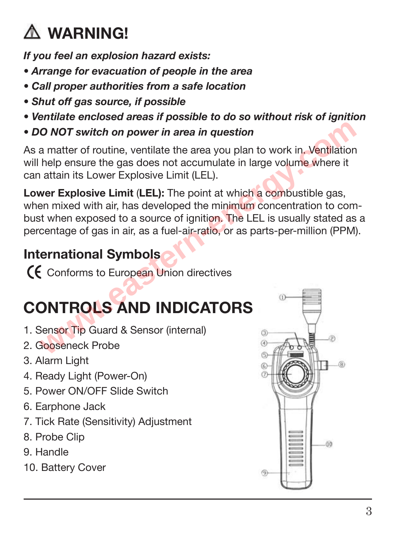# **WARNING!**

*If you feel an explosion hazard exists:*

- *Arrange for evacuation of people in the area*
- *Call proper authorities from a safe location*
- *Shut off gas source, if possible*
- *Ventilate enclosed areas if possible to do so without risk of ignition*
- *DO NOT switch on power in area in question*

As a matter of routine, ventilate the area you plan to work in. Ventilation will help ensure the gas does not accumulate in large volume where it can attain its Lower Explosive Limit (LEL).

**Lower Explosive Limit** (**LEL):** The point at which a combustible gas, when mixed with air, has developed the minimum concentration to combust when exposed to a source of ignition. The LEL is usually stated as a percentage of gas in air, as a fuel-air-ratio, or as parts-per-million (PPM). **where the control of the control of the control of the control of the control of the control of the control of the control of the control of the control of the control of the control of the control of the control of the c** 

### **International Symbols**

Conforms to European Union directives

# **Controls and Indicators**

- 1. Sensor Tip Guard & Sensor (internal)
- 2. Gooseneck Probe
- 3. Alarm Light
- 4. Ready Light (Power-On)
- 5. Power ON/OFF Slide Switch
- 6. Earphone Jack
- 7. Tick Rate (Sensitivity) Adjustment
- 8. Probe Clip
- 9. Handle
- 10. Battery Cover

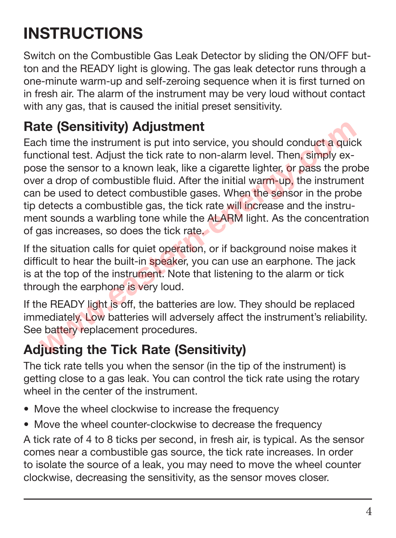## **Instructions**

Switch on the Combustible Gas Leak Detector by sliding the ON/OFF button and the READY light is glowing. The gas leak detector runs through a one-minute warm-up and self-zeroing sequence when it is first turned on in fresh air. The alarm of the instrument may be very loud without contact with any gas, that is caused the initial preset sensitivity.

#### **Rate (Sensitivity) Adjustment**

Each time the instrument is put into service, you should conduct a quick functional test. Adjust the tick rate to non-alarm level. Then, simply expose the sensor to a known leak, like a cigarette lighter, or pass the probe over a drop of combustible fluid. After the initial warm-up, the instrument can be used to detect combustible gases. When the sensor in the probe tip detects a combustible gas, the tick rate will increase and the instrument sounds a warbling tone while the ALARM light. As the concentration of gas increases, so does the tick rate. **ite (Sensitivity) Adjustment**<br>the **(Sensitivity) Adjustment**<br>th time the instrument is put into service, you should conduct a quice<br>tional test. Adjust the tick rate to non-alarm level. Then, simply ex-<br>even the sensor to

If the situation calls for quiet operation, or if background noise makes it difficult to hear the built-in speaker, you can use an earphone. The jack is at the top of the instrument. Note that listening to the alarm or tick through the earphone is very loud.

If the READY light is off, the batteries are low. They should be replaced immediately. Low batteries will adversely affect the instrument's reliability. See battery replacement procedures.

### **Adjusting the Tick Rate (Sensitivity)**

The tick rate tells you when the sensor (in the tip of the instrument) is getting close to a gas leak. You can control the tick rate using the rotary wheel in the center of the instrument.

- Move the wheel clockwise to increase the frequency
- Move the wheel counter-clockwise to decrease the frequency

A tick rate of 4 to 8 ticks per second, in fresh air, is typical. As the sensor comes near a combustible gas source, the tick rate increases. In order to isolate the source of a leak, you may need to move the wheel counter clockwise, decreasing the sensitivity, as the sensor moves closer.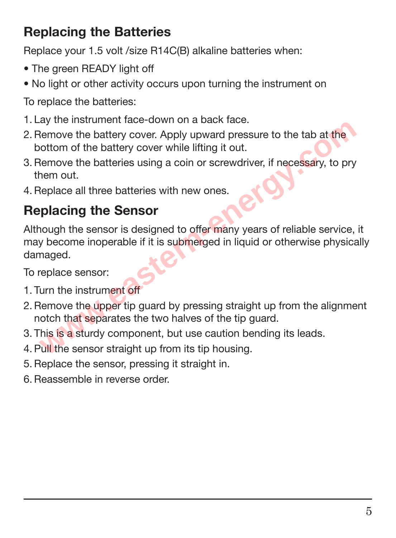#### **Replacing the Batteries**

Replace your 1.5 volt /size R14C(B) alkaline batteries when:

- The green READY light off
- No light or other activity occurs upon turning the instrument on

To replace the batteries:

- 1. Lay the instrument face-down on a back face.
- 2. Remove the battery cover. Apply upward pressure to the tab at the bottom of the battery cover while lifting it out.
- 3.Remove the batteries using a coin or screwdriver, if necessary, to pry them out.
- 4.Replace all three batteries with new ones.

### **Replacing the Sensor**

Although the sensor is designed to offer many years of reliable service, it may become inoperable if it is submerged in liquid or otherwise physically damaged. Let the battery cover. Apply upward pressure to the tab at the<br>
Nemove the battery cover. Apply upward pressure to the tab at the<br>
Nottom of the battery cover while lifting it out.<br>
Nemove the batteries using a coin or scr

To replace sensor:

- 1. Turn the instrument off
- 2.Remove the upper tip guard by pressing straight up from the alignment notch that separates the two halves of the tip guard.
- 3. This is a sturdy component, but use caution bending its leads.
- 4. Pull the sensor straight up from its tip housing.
- 5.Replace the sensor, pressing it straight in.
- 6. Reassemble in reverse order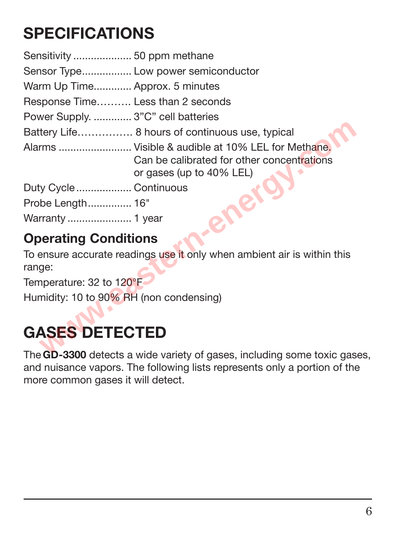### **Specifications**

|                                         | Sensor Type Low power semiconductor                                                                                         |
|-----------------------------------------|-----------------------------------------------------------------------------------------------------------------------------|
| Warm Up Time Approx. 5 minutes          |                                                                                                                             |
| Response Time Less than 2 seconds       |                                                                                                                             |
| Power Supply.  3"C" cell batteries      |                                                                                                                             |
|                                         | Battery Life 8 hours of continuous use, typical                                                                             |
|                                         | Alarms  Visible & audible at 10% LEL for Methane.<br>Can be calibrated for other concentrations<br>or gases (up to 40% LEL) |
| Duty Cycle Continuous                   |                                                                                                                             |
| Probe Length 16"                        |                                                                                                                             |
| Warranty  1 year                        |                                                                                                                             |
| <b>Operating Conditions</b>             |                                                                                                                             |
| range:                                  | To ensure accurate readings use it only when ambient air is within this                                                     |
| Temperature: 32 to 120°F                |                                                                                                                             |
| Humidity: 10 to 90% RH (non condensing) |                                                                                                                             |
| <b>GASES DETECTED</b>                   |                                                                                                                             |
|                                         | The CD-3300 detects a wide variety of gases, including some toxic gase                                                      |

#### **Operating Conditions**

## **Gases Detected**

The **SD-3300** detects a wide variety of gases, including some toxic gases, and nuisance vapors. The following lists represents only a portion of the more common gases it will detect.